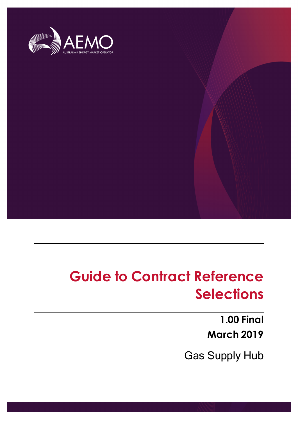

# **Guide to Contract Reference Selections**

**1.00 Final March 2019**

Gas Supply Hub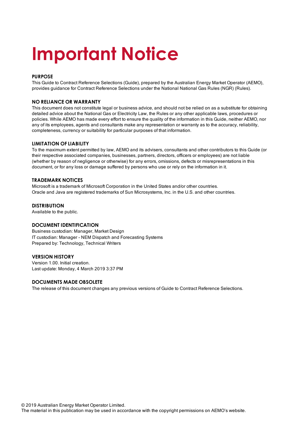# **Important Notice**

#### **PURPOSE**

This Guide to Contract Reference Selections (Guide), prepared by the Australian Energy Market Operator (AEMO), provides guidance for Contract Reference Selections under the National National Gas Rules (NGR) (Rules).

#### **NO RELIANCE OR WARRANTY**

This document does not constitute legal or business advice, and should not be relied on as a substitute for obtaining detailed advice about the National Gas or Electricity Law, the Rules or any other applicable laws, procedures or policies. While AEMO has made every effort to ensure the quality of the information in this Guide, neither AEMO, nor any of its employees, agents and consultants make any representation or warranty as to the accuracy, reliability, completeness, currency or suitability for particular purposes of that information.

#### **LIMITATION OF LIABILITY**

To the maximum extent permitted by law, AEMO and its advisers, consultants and other contributors to this Guide (or their respective associated companies, businesses, partners, directors, officers or employees) are not liable (whether by reason of negligence or otherwise) for any errors, omissions, defects or misrepresentations in this document, or for any loss or damage suffered by persons who use or rely on the information in it.

#### **TRADEMARK NOTICES**

Microsoft is a trademark of Microsoft Corporation in the United States and/or other countries. Oracle and Java are registered trademarks of Sun Microsystems, Inc. in the U.S. and other countries.

#### **DISTRIBUTION**

Available to the public.

#### **DOCUMENT IDENTIFICATION**

Business custodian: Manager, Market Design IT custodian: Manager - NEM Dispatch and Forecasting Systems Prepared by: Technology, Technical Writers

#### **VERSION HISTORY**

Version 1.00. Initial creation. Last update: Monday, 4 March 2019 3:37 PM

#### **DOCUMENTS MADE OBSOLETE**

The release of this document changes any previous versions of Guide to Contract Reference Selections.

The material in this publication may be used in accordance with the copyright permissions on AEMO's website.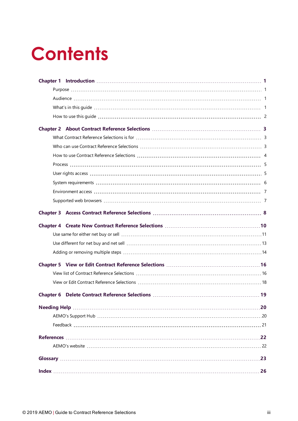# **Contents**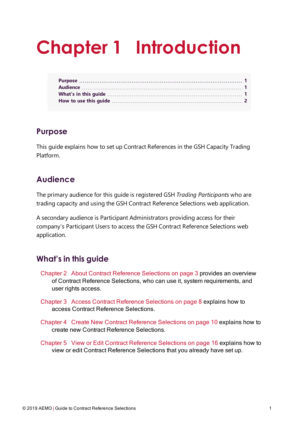# <span id="page-3-0"></span>**Chapter 1 Introduction**

# <span id="page-3-1"></span>**Purpose**

This guide explains how to set up Contract References in the GSH Capacity Trading Platform.

# <span id="page-3-2"></span>**Audience**

The primary audience for this guide is registered GSH *Trading Participants* who are trading capacity and using the GSH Contract Reference Selections web application.

A secondary audience is Participant Administrators providing access for their company's Participant Users to access the GSH Contract Reference Selections web application.

# <span id="page-3-3"></span>**What's in this guide**

- Chapter 2 About Contract Reference [Selections](#page-5-0) on page 3 provides an overview of Contract Reference Selections, who can use it, system requirements, and user rights access.
- Chapter 3 Access Contract Reference [Selections](#page-10-0) on page 8 explains how to access Contract Reference Selections.
- Chapter 4 Create New Contract Reference [Selections](#page-12-0) on page 10 explains how to create new Contract Reference Selections.
- Chapter 5 View or Edit Contract Reference [Selections](#page-18-0) on page 16 explains how to view or edit Contract Reference Selections that you already have set up.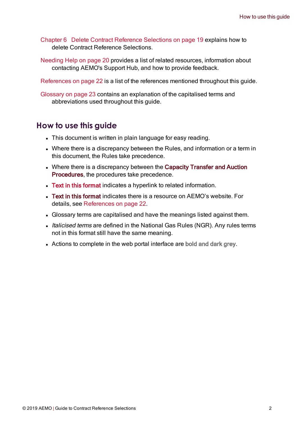Chapter 6 Delete Contract Reference [Selections](#page-21-0) on page 19 explains how to delete Contract Reference Selections.

[Needing](#page-22-0) Help on page 20 provides a list of related resources, information about contacting AEMO's Support Hub, and how to provide feedback.

[References](#page-24-0) on page 22 is a list of the references mentioned throughout this guide.

[Glossary](#page-25-0) on page 23 contains an explanation of the capitalised terms and abbreviations used throughout this guide.

## <span id="page-4-0"></span>**How to use this guide**

- This document is written in plain language for easy reading.
- Where there is a discrepancy between the Rules, and information or a term in this document, the Rules take precedence.
- Where there is a discrepancy between the Capacity Transfer and Auction Procedures, the procedures take precedence.
- Text in this format indicates a hyperlink to related information.
- Text in this format indicates there is a resource on AEMO's website. For details, see [References](#page-24-0) on page 22.
- Glossary terms are capitalised and have the meanings listed against them.
- Italicised terms are defined in the National Gas Rules (NGR). Any rules terms not in this format still have the same meaning.
- Actions to complete in the web portal interface are bold and dark grey.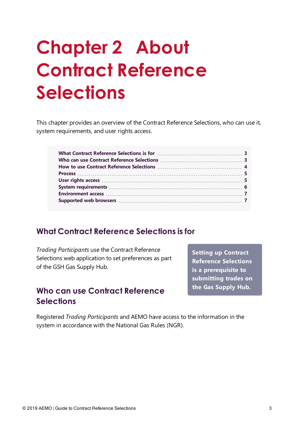# <span id="page-5-0"></span>**Chapter 2 About Contract Reference Selections**

This chapter provides an overview of the Contract Reference Selections, who can use it, system requirements, and user rights access.

# <span id="page-5-1"></span>**What Contract Reference Selections is for**

*Trading Participants* use the Contract Reference Selections web application to set preferences as part of the GSH Gas Supply Hub.

# <span id="page-5-2"></span>**Who can use Contract Reference Selections**

**Setting up Contract Reference Selections is a prerequisite to submitting trades on the Gas Supply Hub.**

Registered *Trading Participants* and AEMO have access to the information in the system in accordance with the National Gas Rules (NGR).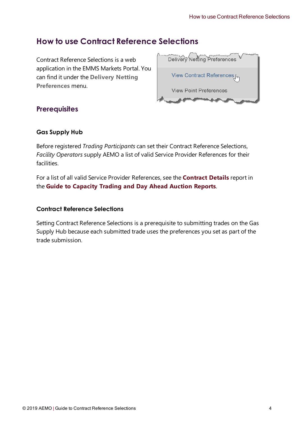# <span id="page-6-0"></span>**How to use Contract Reference Selections**

Contract Reference Selections is a web application in the EMMS Markets Portal. You can find it under the **Delivery Netting Preferences** menu.

| Delivery Netting Preferences  |
|-------------------------------|
| View Contract References [m   |
| <b>View Point Preferences</b> |
|                               |

## <span id="page-6-1"></span>**Prerequisites**

### **Gas Supply Hub**

Before registered *Trading Participants* can set their Contract Reference Selections, *Facility Operators* supply AEMO a list of valid Service Provider References for their facilities.

For a list of all valid Service Provider References, see the **Contract Details** report in the **Guide to Capacity Trading and Day Ahead Auction Reports**.

### **Contract Reference Selections**

Setting Contract Reference Selections is a prerequisite to submitting trades on the Gas Supply Hub because each submitted trade uses the preferences you set as part of the trade submission.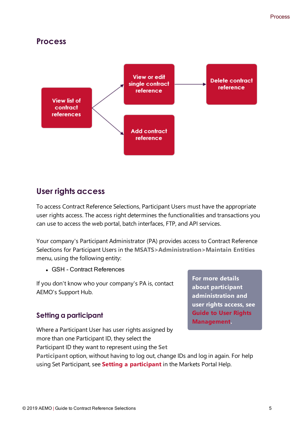## <span id="page-7-0"></span>**Process**



# <span id="page-7-1"></span>**User rights access**

To access Contract Reference Selections, Participant Users must have the appropriate user rights access. The access right determines the functionalities and transactions you can use to access the web portal, batch interfaces, FTP, and API services.

Your company's Participant Administrator (PA) provides access to Contract Reference Selections for Participant Users in the **MSATS>Administration>Maintain Entities** menu, using the following entity:

<sup>l</sup> GSH - Contract References

If you don't know who your company's PA is, contact AEMO's Support Hub.

## <span id="page-7-2"></span>**Setting a participant**

Where a Participant User has user rights assigned by more than one Participant ID, they select the Participant ID they want to represent using the **Set**

**For more details about participant administration and user rights access, see Guide to User Rights Management.**

**Participant** option, without having to log out, change IDs and log in again. For help using Set Participant, see **Setting a participant** in the Markets Portal Help.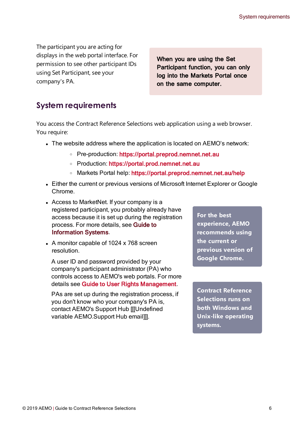The participant you are acting for displays in the web portal interface. For permission to see other participant IDs using Set Participant, see your company's PA.

When you are using the Set Participant function, you can only log into the Markets Portal once on the same computer.

# <span id="page-8-0"></span>**System requirements**

You access the Contract Reference Selections web application using a web browser. You require:

- The website address where the application is located on AEMO's network:
	- Pre-production: https://portal.preprod.nemnet.net.au
	- <sup>o</sup> Production: https://portal.prod.nemnet.net.au
	- o Markets Portal help: https://portal.preprod.nemnet.net.au/help
- Either the current or previous versions of Microsoft Internet Explorer or Google Chrome.
- Access to MarketNet. If your company is a registered participant, you probably already have access because it is set up during the registration process. For more details, see [Guide](http://www.aemo.com.au/) to [Information](http://www.aemo.com.au/) Systems.
- A monitor capable of 1024 x 768 screen resolution.

A user ID and password provided by your company's participant administrator (PA) who controls access to AEMO's web portals. For more details see Guide to User Rights [Management](http://aemo.com.au/~/media/Files/Other/energy market information systems/Guide_to_User_Rights_Management.ashx).

PAs are set up during the registration process, if you don't know who your company's PA is, contact AEMO's Support Hub [[[Undefined variable AEMO.Support Hub email]]].

**For the best experience, AEMO recommends using the current or previous version of Google Chrome.**

**Contract Reference Selections runs on both Windows and Unix-like operating systems.**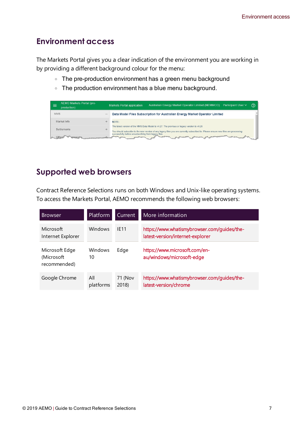# <span id="page-9-0"></span>**Environment access**

The Markets Portal gives you a clear indication of the environment you are working in by providing a different background colour for the menu:

- The pre-production environment has a green menu background
- <sup>o</sup> The production environment has a blue menu background.

| AEMO Markets Portal (pre-<br>$=$<br>production)                                                                                                                                                                                                                                                                                                                                                                                                                                                                                                     |  | Australian Energy Market Operator Limited (NEMMCO)<br><b>Participant User ∨</b><br><b>Markets Portal application</b>                                                                                                              | の |  |  |
|-----------------------------------------------------------------------------------------------------------------------------------------------------------------------------------------------------------------------------------------------------------------------------------------------------------------------------------------------------------------------------------------------------------------------------------------------------------------------------------------------------------------------------------------------------|--|-----------------------------------------------------------------------------------------------------------------------------------------------------------------------------------------------------------------------------------|---|--|--|
| MMS                                                                                                                                                                                                                                                                                                                                                                                                                                                                                                                                                 |  | Data Model Files Subscription for Australian Energy Market Operator Limited                                                                                                                                                       |   |  |  |
| Market Info                                                                                                                                                                                                                                                                                                                                                                                                                                                                                                                                         |  | NOTE:                                                                                                                                                                                                                             |   |  |  |
| Settlements                                                                                                                                                                                                                                                                                                                                                                                                                                                                                                                                         |  | The latest version of the MMS Data Model is v4.27. The previous or legacy version is v4.26<br>You should subscribe to the new version of any legacy files you are currently subscribed to. Please ensure new files are processing |   |  |  |
| successfully before unsubscribing from legacy files.<br><b>Sunday</b><br>$\frac{1}{2} \left( \frac{1}{2} \right) \left( \frac{1}{2} \right) \left( \frac{1}{2} \right) \left( \frac{1}{2} \right) \left( \frac{1}{2} \right) \left( \frac{1}{2} \right) \left( \frac{1}{2} \right) \left( \frac{1}{2} \right) \left( \frac{1}{2} \right) \left( \frac{1}{2} \right) \left( \frac{1}{2} \right) \left( \frac{1}{2} \right) \left( \frac{1}{2} \right) \left( \frac{1}{2} \right) \left( \frac{1}{2} \right) \left( \frac{1}{2} \right) \left( \frac$ |  |                                                                                                                                                                                                                                   |   |  |  |

# <span id="page-9-1"></span>**Supported web browsers**

Contract Reference Selections runs on both Windows and Unix-like operating systems. To access the Markets Portal, AEMO recommends the following web browsers:

| <b>Browser</b>                                | <b>Platform</b>  | <b>Current</b>   | More information                                                                |
|-----------------------------------------------|------------------|------------------|---------------------------------------------------------------------------------|
| Microsoft<br>Internet Explorer                | <b>Windows</b>   | <b>IF11</b>      | https://www.whatismybrowser.com/guides/the-<br>latest-version/internet-explorer |
| Microsoft Edge<br>(Microsoft)<br>recommended) | Windows<br>10    | Edge             | https://www.microsoft.com/en-<br>au/windows/microsoft-edge                      |
| Google Chrome                                 | All<br>platforms | 71 (Nov<br>2018) | https://www.whatismybrowser.com/guides/the-<br>latest-version/chrome            |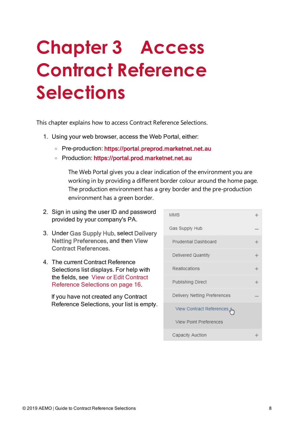# <span id="page-10-0"></span>**Chapter 3 Access Contract Reference Selections**

This chapter explains how to access Contract Reference Selections.

- 1. Using your web browser, access the Web Portal, either:
	- <sup>o</sup> Pre-production: [https://portal.preprod.marketnet.net.au](https://portal.prod.nemnet.net.au/)
	- <sup>o</sup> Production: [https://portal.prod.marketnet.net.au](https://portal.prod.nemnet.net.au/)

The Web Portal gives you a clear indication of the environment you are working in by providing a different border colour around the home page. The production environment has a grey border and the pre-production environment has a green border.

- 2. Sign in using the user ID and password provided by your company's PA.
- 3. Under Gas Supply Hub, select Delivery Netting Preferences, and then View Contract References.
- 4. The current Contract Reference Selections list displays. For help with the fields, see View or Edit [Contract](#page-18-0) Reference [Selections](#page-18-0) on page 16.

If you have not created any Contract Reference Selections, your list is empty.

| <b>MMS</b>                    |   |
|-------------------------------|---|
| Gas Supply Hub                |   |
| Prudential Dashboard          | ╇ |
| Delivered Quantity            | ╇ |
| Reallocations                 | ╇ |
| Publishing Direct             | ┿ |
| Delivery Netting Preferences  |   |
| View Contract References      |   |
| <b>View Point Preferences</b> |   |
| Capacity Auction              |   |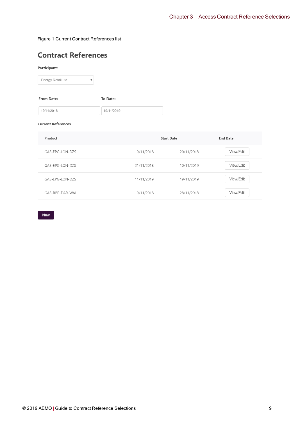#### <span id="page-11-0"></span>Figure 1 Current Contract References list

# **Contract References**

#### Participant:

| Energy Retail Ltd |  |
|-------------------|--|
|-------------------|--|

| <b>From Date:</b> |            |  | To Date:   |  |  |
|-------------------|------------|--|------------|--|--|
|                   | 19/11/2018 |  | 19/11/2019 |  |  |

#### **Current References**

| Product         |            | <b>Start Date</b> | <b>End Date</b> |
|-----------------|------------|-------------------|-----------------|
| GAS-EPG-LON-DZS | 19/11/2018 | 20/11/2018        | View/Edit       |
| GAS-EPG-LON-DZS | 21/11/2018 | 10/11/2019        | View/Edit       |
| GAS-EPG-LON-DZS | 11/11/2019 | 19/11/2019        | View/Edit       |
| GAS-RBP-DAR-WAL | 19/11/2018 | 28/11/2018        | View/Edit       |

New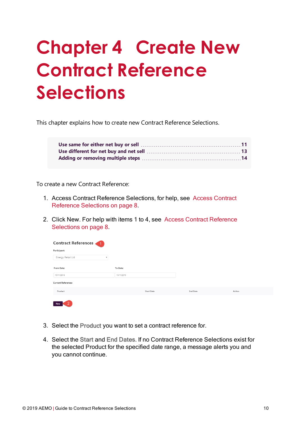# <span id="page-12-0"></span>**Chapter 4 Create New Contract Reference Selections**

This chapter explains how to create new Contract Reference Selections.

To create a new Contract Reference:

- 1. Access Contract Reference Selections, for help, see Access [Contract](#page-10-0) Reference [Selections](#page-10-0) on page 8.
- 2. Click New. For help with items 1 to 4, see Access Contract [Reference](#page-10-0) [Selections](#page-10-0) on page 8.

| <b>Contract References</b>                     |                   |                 |        |
|------------------------------------------------|-------------------|-----------------|--------|
| Participant:                                   |                   |                 |        |
| Energy Retail Ltd<br>$\boldsymbol{\mathrm{v}}$ |                   |                 |        |
| From Date:                                     | To Date:          |                 |        |
| 15/11/2018                                     | 15/11/2019        |                 |        |
| <b>Current References</b>                      |                   |                 |        |
| Product                                        | <b>Start Date</b> | <b>End Date</b> | Action |
| <b>New</b>                                     |                   |                 |        |

- 3. Select the Product you want to set a contract reference for.
- 4. Select the Start and End Dates. If no Contract Reference Selections exist for the selected Product for the specified date range, a message alerts you and you cannot continue.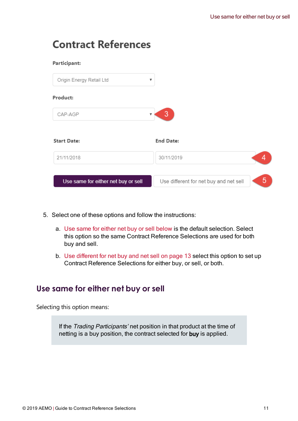# **Contract References**

| Participant:                        |                                             |
|-------------------------------------|---------------------------------------------|
| Origin Energy Retail Ltd<br>▼       |                                             |
| Product:                            |                                             |
| CAP-AGP                             | 3                                           |
| <b>Start Date:</b>                  | <b>End Date:</b>                            |
| 21/11/2018                          | 30/11/2019                                  |
| Use same for either net buy or sell | 5<br>Use different for net buy and net sell |

- 5. Select one of these options and follow the instructions:
	- a. Use same for either net buy or sell [below](#page-13-0) is the default selection. Select this option so the same Contract Reference Selections are used for both buy and sell.
	- b. Use different for net buy and net sell on [page 13](#page-15-0) select this option to set up Contract Reference Selections for either buy, or sell, or both.

# <span id="page-13-0"></span>**Use same for either net buy or sell**

Selecting this option means:

If the Trading Participants' net position in that product at the time of netting is a buy position, the contract selected for buy is applied.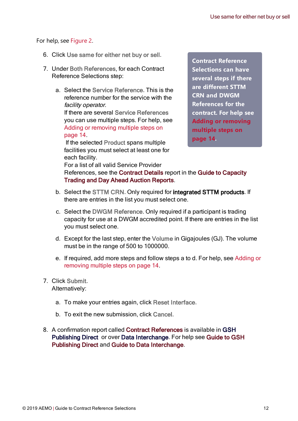For help, see [Figure](#page-15-1) 2.

- 6. Click Use same for either net buy or sell.
- 7. Under Both References, for each Contract Reference Selections step:
	- a. Select the Service Reference. This is the reference number for the service with the facility operator. If there are several Service References you can use multiple steps. For help, see Adding or [removing](#page-16-0) multiple steps on [page 14.](#page-16-0)

If the selected Product spans multiple facilities you must select at least one for each facility.

**Contract Reference Selections can have several steps if there are different STTM CRN and DWGM References for the contract. For help see Adding or [removing](#page-16-0) [multiple](#page-16-0) steps on [page 14.](#page-16-0)**

For a list of all valid Service Provider References, see the Contract Details report in the Guide to Capacity Trading and Day Ahead Auction Reports.

- <span id="page-14-1"></span>b. Select the STTM CRN. Only required for integrated STTM products. If there are entries in the list you must select one.
- <span id="page-14-0"></span>c. Select the DWGM Reference. Only required if a participant is trading capacity for use at a DWGM accredited point. If there are entries in the list you must select one.
- <span id="page-14-2"></span>d. Except for the last step, enter the Volume in Gigajoules (GJ). The volume must be in the range of 500 to 1000000.
- e. If required, add more steps and follow steps a to d. For help, see [Adding](#page-16-0) or [removing](#page-16-0) multiple steps on page 14.
- 7. Click Submit. Alternatively:
	- a. To make your entries again, click Reset Interface.
	- b. To exit the new submission, click Cancel.
- 8. A confirmation report called Contract References is available in GSH Publishing Direct or over Data Interchange. For help see Guide to GSH Publishing Direct and Guide to Data Interchange.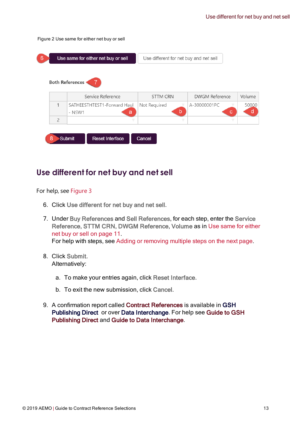<span id="page-15-1"></span>Figure 2 Use same for either net buy or sell

| -6 |                | Use same for either net buy or sell        | Use different for net buy and net sell |                   |            |
|----|----------------|--------------------------------------------|----------------------------------------|-------------------|------------|
|    |                | <b>Both References</b>                     |                                        |                   |            |
|    |                | Service Reference                          | <b>STTM CRN</b>                        | DWGM Reference    | Volume     |
|    | $\mathbf{1}$   | SATHEESTHTEST1-Forward Haul<br>a<br>- NSW1 | Not Required<br>b                      | A-30000001PC<br>с | 50000<br>d |
|    | $\overline{2}$ |                                            |                                        | v                 |            |
|    | 8              | Submit<br><b>Reset Interface</b>           | Cancel                                 |                   |            |

# <span id="page-15-0"></span>**Use different for net buy and net sell**

For help, see [Figure](#page-16-1) 3

- <span id="page-15-2"></span>6. Click Use different for net buy and net sell.
- 7. Under Buy References and Sell References, for each step, enter the Service Reference, STTM CRN, DWGM Reference, Volume as in Use same for [either](#page-13-0) net buy or sell on [page 11.](#page-13-0) For help with steps, see Adding or [removing](#page-16-0) multiple steps on the next page.
- 8. Click Submit. Alternatively:
	- a. To make your entries again, click Reset Interface.
	- b. To exit the new submission, click Cancel.
- 9. A confirmation report called Contract References is available in GSH Publishing Direct or over Data Interchange. For help see Guide to GSH Publishing Direct and Guide to Data Interchange.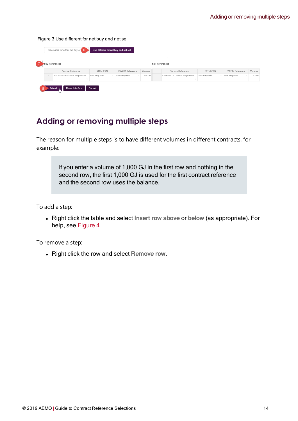<span id="page-16-1"></span>Figure 3 Use different for net buy and net sell

|   | Use same for either net buy or $6$ | Use different for net buy and net sell |                |        |                 |                                                       |              |                |        |
|---|------------------------------------|----------------------------------------|----------------|--------|-----------------|-------------------------------------------------------|--------------|----------------|--------|
|   | <b>Buy References</b>              |                                        |                |        | Sell References |                                                       |              |                |        |
|   | Service Reference                  | STTM CRN                               | DWGM Reference | Volume |                 | Service Reference                                     | STTM CRN     | DWGM Reference | Volume |
|   | SATHEESTHTEST6-Compressor          | Not Required                           | Not Required   | 50000  | $\sim$          | SATHEESTHTEST6-Compressor<br>$\overline{\phantom{a}}$ | Not Required | Not Required   | 20000  |
| 8 | <b>Reset Interface</b><br>Submit   | Cancel                                 |                |        |                 |                                                       |              |                |        |

# <span id="page-16-0"></span>**Adding or removing multiple steps**

The reason for multiple steps is to have different volumes in different contracts, for example:

> If you enter a volume of 1,000 GJ in the first row and nothing in the second row, the first 1,000 GJ is used for the first contract reference and the second row uses the balance.

<span id="page-16-2"></span>To add a step:

<span id="page-16-3"></span>• Right click the table and select Insert row above or below (as appropriate). For help, see [Figure](#page-17-0) 4

<span id="page-16-4"></span>To remove a step:

<span id="page-16-5"></span>• Right click the row and select Remove row.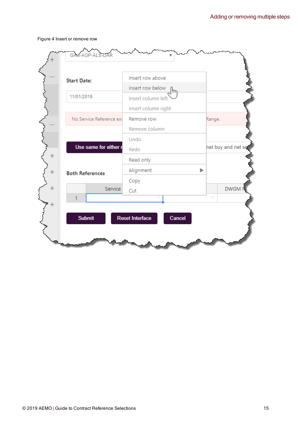#### <span id="page-17-0"></span>Figure 4 Insert or remove row

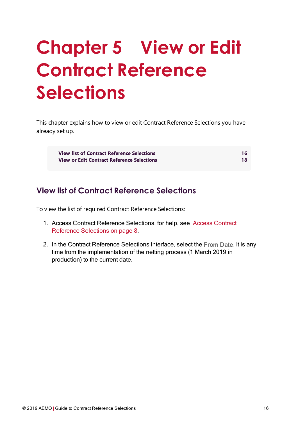# <span id="page-18-0"></span>**Chapter 5 View or Edit Contract Reference Selections**

This chapter explains how to view or edit Contract Reference Selections you have already set up.

# <span id="page-18-1"></span>**View list of Contract Reference Selections**

To view the list of required Contract Reference Selections:

- 1. Access Contract Reference Selections, for help, see Access [Contract](#page-10-0) Reference [Selections](#page-10-0) on page 8.
- 2. In the Contract Reference Selections interface, select the From Date. It is any time from the implementation of the netting process (1 March 2019 in production) to the current date.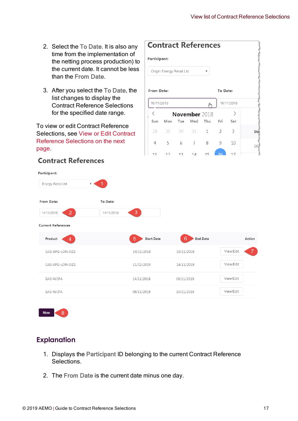**Contract References** 

 $\overline{\mathbf{v}}$ 

لهام

Thu

 $\mathbf{1}$ 

8

 $15$  $\frac{1}{2}$ 

November 2018

Wed

31

 $\overline{7}$ 

 $1\Delta$ 

To Date:

Fri

 $\overline{2}$ 

9

16/11/2018

 $\left\langle \right\rangle$ 

Sat

 $\overline{3}$ 

10

 $17$ 

Sta

 $16$ 

Participant:

From Date:

16/11/2018

 $\,$   $\,$ 

Sun

28

 $\overline{A}$ 

 $11$ 

Origin Energy Retail Ltd

Mon Tue

30

6

 $12$ 

29

5

 $12$ 

- 2. Select the To Date. It is also any time from the implementation of the netting process production) to the current date. It cannot be less than the From Date.
- 3. After you select the To Date, the list changes to display the Contract Reference Selections for the specified date range.

To view or edit Contract Reference Selections, see View or Edit [Contract](#page-20-0) Reference [Selections](#page-20-0) on the next [page.](#page-20-0)

| Energy Retail Ltd            | ▼          |                        |                                    |                             |
|------------------------------|------------|------------------------|------------------------------------|-----------------------------|
| From Date:                   | To Date:   |                        |                                    |                             |
| 2 <sup>1</sup><br>14/11/2018 | 14/11/2019 | 3 <sup>7</sup>         |                                    |                             |
| <b>Current References</b>    |            |                        |                                    |                             |
| Product<br>4 <sup>1</sup>    |            | 5<br><b>Start Date</b> | $6\phantom{1}6$<br><b>End Date</b> | Action                      |
| GAS-EPG-LON-DZS              |            | 14/11/2018             | 10/11/2019                         | 7 <sup>1</sup><br>View/Edit |
| GAS-EPG-LON-DZS              |            | 11/11/2019             | 14/11/2019                         | View/Edit                   |
| GAS-WCFA                     |            | 14/11/2018             | 08/11/2019                         | View/Edit                   |
| GAS-WCFA                     |            | 09/11/2019             | 10/11/2019                         | View/Edit                   |

## **Contract References**

## **Explanation**

- 1. Displays the Participant ID belonging to the current Contract Reference Selections.
- 2. The From Date is the current date minus one day.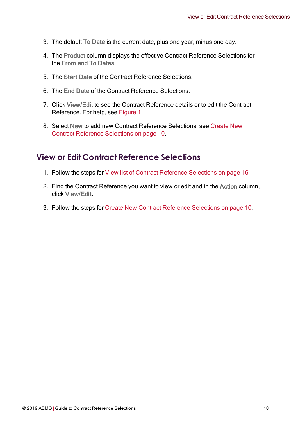- 3. The default To Date is the current date, plus one year, minus one day.
- 4. The Product column displays the effective Contract Reference Selections for the From and To Dates.
- 5. The Start Date of the Contract Reference Selections.
- 6. The End Date of the Contract Reference Selections.
- 7. Click View/Edit to see the Contract Reference details or to edit the Contract Reference. For help, see [Figure](#page-11-0) 1.
- 8. Select New to add new Contract Reference Selections, see [Create](#page-12-0) New Contract Reference [Selections](#page-12-0) on page 10.

# <span id="page-20-0"></span>**View or Edit Contract Reference Selections**

- 1. Follow the steps for View list of Contract Reference [Selections](#page-18-1) on page 16
- 2. Find the Contract Reference you want to view or edit and in the Action column, click View/Edit.
- 3. Follow the steps for Create New Contract Reference [Selections](#page-12-0) on page 10.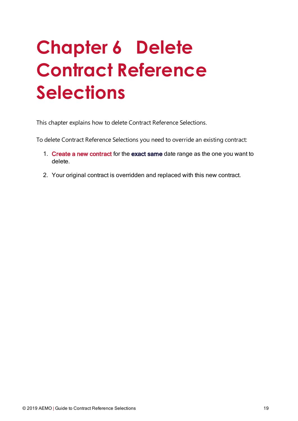# <span id="page-21-0"></span>**Chapter 6 Delete Contract Reference Selections**

<span id="page-21-1"></span>This chapter explains how to delete Contract Reference Selections.

To delete Contract Reference Selections you need to override an existing contract:

- 1. Create a new [contract](#page-12-0) for the exact same date range as the one you want to delete.
- 2. Your original contract is overridden and replaced with this new contract.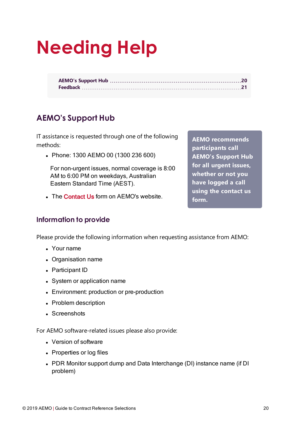# <span id="page-22-0"></span>**Needing Help**

# <span id="page-22-1"></span>**AEMO's Support Hub**

IT assistance is requested through one of the following methods:

• Phone: 1300 AEMO 00 (1300 236 600)

For non-urgent issues, normal coverage is 8:00 AM to 6:00 PM on weekdays, Australian Eastern Standard Time (AEST).

• The Contact Us form on AEMO's website.

**Information to provide**

Please provide the following information when requesting assistance from AEMO:

- Your name
- Organisation name
- Participant ID
- System or application name
- Environment: production or pre-production
- Problem description
- Screenshots

For AEMO software-related issues please also provide:

- Version of software
- Properties or log files
- PDR Monitor support dump and Data Interchange (DI) instance name (if DI problem)

**participants call AEMO's Support Hub for all urgent issues, whether or not you have logged a call using the contact us form.**

**AEMO recommends**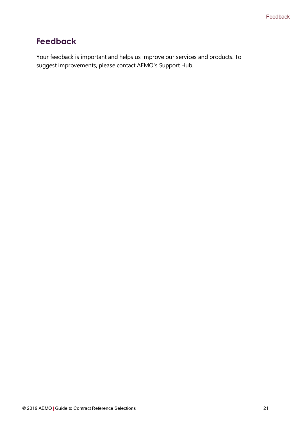# <span id="page-23-0"></span>**Feedback**

Your feedback is important and helps us improve our services and products. To suggest improvements, please contact AEMO's Support Hub.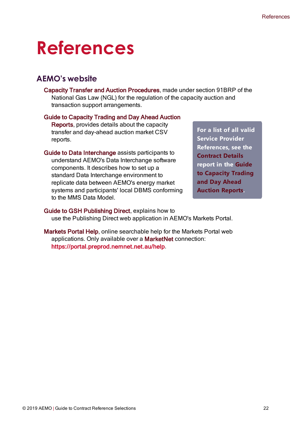# <span id="page-24-0"></span>**References**

## <span id="page-24-1"></span>**AEMO's website**

Capacity Transfer and Auction Procedures, made under section 91BRP of the National Gas Law (NGL) for the regulation of the capacity auction and transaction support arrangements.

#### Guide to Capacity Trading and Day Ahead Auction

Reports, provides details about the capacity transfer and day-ahead auction market CSV reports.

Guide to Data Interchange assists participants to understand AEMO's Data Interchange software components. It describes how to set up a standard Data Interchange environment to replicate data between AEMO's energy market systems and participants' local DBMS conforming to the MMS Data Model.

**For a list of all valid Service Provider References, see the Contract Details report in the Guide to Capacity Trading and Day Ahead Auction Reports.**

- Guide to GSH Publishing Direct, explains how to use the Publishing Direct web application in AEMO's Markets Portal.
- <span id="page-24-2"></span>Markets Portal Help, online searchable help for the Markets Portal web applications. Only available over a MarketNet connection: https://portal.preprod.nemnet.net.au/help.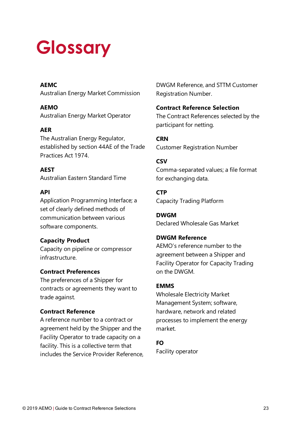# <span id="page-25-0"></span>**Glossary**

### **AEMC**

Australian Energy Market Commission

**AEMO** Australian Energy Market Operator

## **AER**

The Australian Energy Regulator, established by section 44AE of the Trade Practices Act 1974.

## **AEST**

Australian Eastern Standard Time

### **API**

Application Programming Interface; a set of clearly defined methods of communication between various software components.

## **Capacity Product**

Capacity on pipeline or compressor infrastructure.

## **Contract Preferences**

The preferences of a Shipper for contracts or agreements they want to trade against.

## **Contract Reference**

A reference number to a contract or agreement held by the Shipper and the Facility Operator to trade capacity on a facility. This is a collective term that includes the Service Provider Reference, DWGM Reference, and STTM Customer Registration Number.

### **Contract Reference Selection**

The Contract References selected by the participant for netting.

**CRN** Customer Registration Number

### **CSV**

Comma-separated values; a file format for exchanging data.

**CTP** Capacity Trading Platform

**DWGM** Declared Wholesale Gas Market

## **DWGM Reference**

AEMO's reference number to the agreement between a Shipper and Facility Operator for Capacity Trading on the DWGM.

### **EMMS**

Wholesale Electricity Market Management System; software, hardware, network and related processes to implement the energy market.

### **FO**

Facility operator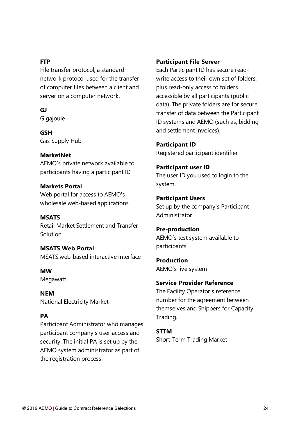#### **FTP**

File transfer protocol; a standard network protocol used for the transfer of computer files between a client and server on a computer network.

**GJ**

**Gigajoule** 

**GSH** Gas Supply Hub

### **MarketNet**

AEMO's private network available to participants having a participant ID

#### **Markets Portal**

Web portal for access to AEMO's wholesale web-based applications.

### **MSATS**

Retail Market Settlement and Transfer Solution

**MSATS Web Portal** MSATS web-based interactive interface

**MW** Megawatt

**NEM** National Electricity Market

### **PA**

Participant Administrator who manages participant company's user access and security. The initial PA is set up by the AEMO system administrator as part of the registration process.

#### **Participant File Server**

Each Participant ID has secure readwrite access to their own set of folders, plus read-only access to folders accessible by all participants (public data). The private folders are for secure transfer of data between the Participant ID systems and AEMO (such as, bidding and settlement invoices).

**Participant ID** Registered participant identifier

#### **Participant user ID**

The user ID you used to login to the system.

#### **Participant Users**

Set up by the company's Participant Administrator.

#### **Pre-production**

AEMO's test system available to participants

**Production** AEMO's live system

### **Service Provider Reference**

The Facility Operator's reference number for the agreement between themselves and Shippers for Capacity Trading.

#### **STTM**

Short-Term Trading Market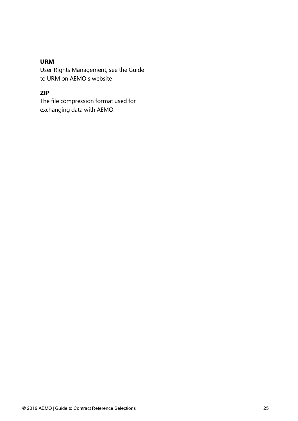### **URM**

User Rights Management; see the Guide to URM on AEMO's website

## **ZIP**

The file compression format used for exchanging data with AEMO.